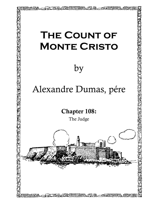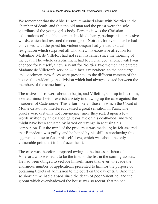We remember that the Abbe Busoni remained alone with Noirtier in the chamber of death, and that the old man and the priest were the sole guardians of the young girl's body. Perhaps it was the Christian exhortations of the abbe, perhaps his kind charity, perhaps his persuasive words, which had restored the courage of Noirtier, for ever since he had conversed with the priest his violent despair had yielded to a calm resignation which surprised all who knew his excessive affection for Valentine. M. de Villefort had not seen his father since the morning of the death. The whole establishment had been changed; another valet was engaged for himself, a new servant for Noirtier, two women had entered Madame de Villefort's service,—in fact, everywhere, to the concierge and coachmen, new faces were presented to the different masters of the house, thus widening the division which had always existed between the members of the same family.

The assizes, also, were about to begin, and Villefort, shut up in his room, exerted himself with feverish anxiety in drawing up the case against the murderer of Caderousse. This affair, like all those in which the Count of Monte Cristo had interfered, caused a great sensation in Paris. The proofs were certainly not convincing, since they rested upon a few words written by an escaped galley–slave on his death–bed, and who might have been actuated by hatred or revenge in accusing his companion. But the mind of the procureur was made up; he felt assured that Benedetto was guilty, and he hoped by his skill in conducting this aggravated case to flatter his self–love, which was about the only vulnerable point left in his frozen heart.

The case was therefore prepared owing to the incessant labor of Villefort, who wished it to be the first on the list in the coming assizes. He had been obliged to seclude himself more than ever, to evade the enormous number of applications presented to him for the purpose of obtaining tickets of admission to the court on the day of trial. And then so short a time had elapsed since the death of poor Valentine, and the gloom which overshadowed the house was so recent, that no one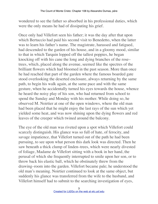wondered to see the father so absorbed in his professional duties, which were the only means he had of dissipating his grief.

Once only had Villefort seen his father; it was the day after that upon which Bertuccio had paid his second visit to Benedetto, when the latter was to learn his father's name. The magistrate, harassed and fatigued, had descended to the garden of his house, and in a gloomy mood, similar to that in which Tarquin lopped off the tallest poppies, he began knocking off with his cane the long and dying branches of the rose– trees, which, placed along the avenue, seemed like the spectres of the brilliant flowers which had bloomed in the past season. More than once he had reached that part of the garden where the famous boarded gate stood overlooking the deserted enclosure, always returning by the same path, to begin his walk again, at the same pace and with the same gesture, when he accidentally turned his eyes towards the house, whence he heard the noisy play of his son, who had returned from school to spend the Sunday and Monday with his mother. While doing so, he observed M. Noirtier at one of the open windows, where the old man had been placed that he might enjoy the last rays of the sun which yet yielded some heat, and was now shining upon the dying flowers and red leaves of the creeper which twined around the balcony.

The eye of the old man was riveted upon a spot which Villefort could scarcely distinguish. His glance was so full of hate, of ferocity, and savage impatience, that Villefort turned out of the path he had been pursuing, to see upon what person this dark look was directed. Then he saw beneath a thick clump of linden–trees, which were nearly divested of foliage, Madame de Villefort sitting with a book in her hand, the perusal of which she frequently interrupted to smile upon her son, or to throw back his elastic ball, which he obstinately threw from the drawing–room into the garden. Villefort became pale; he understood the old man's meaning. Noirtier continued to look at the same object, but suddenly his glance was transferred from the wife to the husband, and Villefort himself had to submit to the searching investigation of eyes,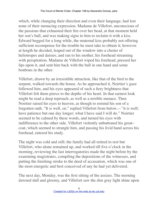which, while changing their direction and even their language, had lost none of their menacing expression. Madame de Villefort, unconscious of the passions that exhausted their fire over her head, at that moment held her son's ball, and was making signs to him to reclaim it with a kiss. Edward begged for a long while, the maternal kiss probably not offering sufficient recompense for the trouble he must take to obtain it; however at length he decided, leaped out of the window into a cluster of heliotropes and daisies, and ran to his mother, his forehead streaming with perspiration. Madame de Villefort wiped his forehead, pressed her lips upon it, and sent him back with the ball in one hand and some bonbons in the other.

Villefort, drawn by an irresistible attraction, like that of the bird to the serpent, walked towards the house. As he approached it, Noirtier's gaze followed him, and his eyes appeared of such a fiery brightness that Villefort felt them pierce to the depths of his heart. In that earnest look might be read a deep reproach, as well as a terrible menace. Then Noirtier raised his eyes to heaven, as though to remind his son of a forgotten oath. "It is well, sir," replied Villefort from below,—"it is well; have patience but one day longer; what I have said I will do." Noirtier seemed to be calmed by these words, and turned his eyes with indifference to the other side. Villefort violently unbuttoned his great– coat, which seemed to strangle him, and passing his livid hand across his forehead, entered his study.

The night was cold and still; the family had all retired to rest but Villefort, who alone remained up, and worked till five o'clock in the morning, reviewing the last interrogatories made the night before by the examining magistrates, compiling the depositions of the witnesses, and putting the finishing stroke to the deed of accusation, which was one of the most energetic and best conceived of any he had yet delivered.

The next day, Monday, was the first sitting of the assizes. The morning dawned dull and gloomy, and Villefort saw the dim gray light shine upon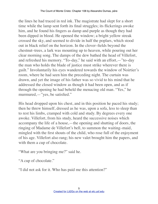the lines he had traced in red ink. The magistrate had slept for a short time while the lamp sent forth its final struggles; its flickerings awoke him, and he found his fingers as damp and purple as though they had been dipped in blood. He opened the window; a bright yellow streak crossed the sky, and seemed to divide in half the poplars, which stood out in black relief on the horizon. In the clover–fields beyond the chestnut–trees, a lark was mounting up to heaven, while pouring out her clear morning song. The damps of the dew bathed the head of Villefort, and refreshed his memory. "To–day," he said with an effort,—"to–day the man who holds the blade of justice must strike wherever there is guilt." Involuntarily his eyes wandered towards the window of Noirtier's room, where he had seen him the preceding night. The curtain was drawn, and yet the image of his father was so vivid to his mind that he addressed the closed window as though it had been open, and as if through the opening he had beheld the menacing old man. "Yes," he murmured,—"yes, be satisfied."

His head dropped upon his chest, and in this position he paced his study; then he threw himself, dressed as he was, upon a sofa, less to sleep than to rest his limbs, cramped with cold and study. By degrees every one awoke. Villefort, from his study, heard the successive noises which accompany the life of a house,—the opening and shutting of doors, the ringing of Madame de Villefort's bell, to summon the waiting–maid, mingled with the first shouts of the child, who rose full of the enjoyment of his age. Villefort also rang; his new valet brought him the papers, and with them a cup of chocolate.

"What are you bringing me?" said he.

"A cup of chocolate."

"I did not ask for it. Who has paid me this attention?"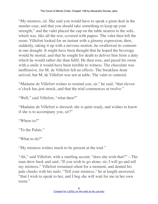"My mistress, sir. She said you would have to speak a great deal in the murder case, and that you should take something to keep up your strength;" and the valet placed the cup on the table nearest to the sofa, which was, like all the rest, covered with papers. The valet then left the room. Villefort looked for an instant with a gloomy expression, then, suddenly, taking it up with a nervous motion, he swallowed its contents at one draught. It might have been thought that he hoped the beverage would be mortal, and that he sought for death to deliver him from a duty which he would rather die than fulfil. He then rose, and paced his room with a smile it would have been terrible to witness. The chocolate was inoffensive, for M. de Villefort felt no effects. The breakfast–hour arrived, but M. de Villefort was not at table. The valet re–entered.

"Madame de Villefort wishes to remind you, sir," he said, "that eleven o'clock has just struck, and that the trial commences at twelve."

"Well," said Villefort, "what then?"

"Madame de Villefort is dressed; she is quite ready, and wishes to know if she is to accompany you, sir?"

"Where to?"

"To the Palais."

"What to do?"

"My mistress wishes much to be present at the trial."

"Ah," said Villefort, with a startling accent; "does she wish that?"—The man drew back and said, "If you wish to go alone, sir, I will go and tell my mistress." Villefort remained silent for a moment, and dented his pale cheeks with his nails. "Tell your mistress," he at length answered, "that I wish to speak to her, and I beg she will wait for me in her own room."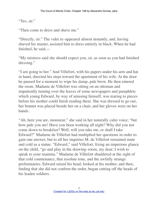"Yes, sir."

"Then come to dress and shave me."

"Directly, sir." The valet re–appeared almost instantly, and, having shaved his master, assisted him to dress entirely in black. When he had finished, he said,—

"My mistress said she should expect you, sir, as soon as you had finished dressing."

"I am going to her." And Villefort, with his papers under his arm and hat in hand, directed his steps toward the apartment of his wife. At the door he paused for a moment to wipe his damp, pale brow. He then entered the room. Madame de Villefort was sitting on an ottoman and impatiently turning over the leaves of some newspapers and pamphlets which young Edward, by way of amusing himself, was tearing to pieces before his mother could finish reading them. She was dressed to go out, her bonnet was placed beside her on a chair, and her gloves were on her hands.

"Ah, here you are, monsieur," she said in her naturally calm voice; "but how pale you are! Have you been working all night? Why did you not come down to breakfast? Well, will you take me, or shall I take Edward?" Madame de Villefort had multiplied her questions in order to gain one answer, but to all her inquiries M. de Villefort remained mute and cold as a statue. "Edward," said Villefort, fixing an imperious glance on the child, "go and play in the drawing–room, my dear; I wish to speak to your mamma." Madame de Villefort shuddered at the sight of that cold countenance, that resolute tone, and the awfully strange preliminaries. Edward raised his head, looked at his mother, and then, finding that she did not confirm the order, began cutting off the heads of his leaden soldiers.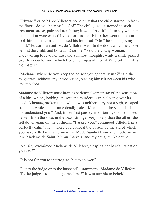"Edward," cried M. de Villefort, so harshly that the child started up from the floor, "do you hear me?—Go!" The child, unaccustomed to such treatment, arose, pale and trembling; it would be difficult to say whether his emotion were caused by fear or passion. His father went up to him, took him in his arms, and kissed his forehead. "Go," he said: "go, my child." Edward ran out. M. de Villefort went to the door, which he closed behind the child, and bolted. "Dear me!" said the young woman, endeavoring to read her husband's inmost thoughts, while a smile passed over her countenance which froze the impassibility of Villefort; "what is the matter?"

"Madame, where do you keep the poison you generally use?" said the magistrate, without any introduction, placing himself between his wife and the door.

Madame de Villefort must have experienced something of the sensation of a bird which, looking up, sees the murderous trap closing over its head. A hoarse, broken tone, which was neither a cry nor a sigh, escaped from her, while she became deadly pale. "Monsieur," she said, "I—I do not understand you." And, in her first paroxysm of terror, she had raised herself from the sofa, in the next, stronger very likely than the other, she fell down again on the cushions. "I asked you," continued Villefort, in a perfectly calm tone, "where you conceal the poison by the aid of which you have killed my father–in–law, M. de Saint–Meran, my mother–in– law, Madame de Saint–Meran, Barrois, and my daughter Valentine."

"Ah, sir," exclaimed Madame de Villefort, clasping her hands, "what do you say?"

"It is not for you to interrogate, but to answer."

"Is it to the judge or to the husband?" stammered Madame de Villefort. "To the judge—to the judge, madame!" It was terrible to behold the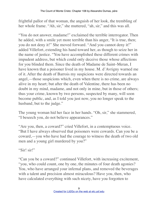frightful pallor of that woman, the anguish of her look, the trembling of her whole frame. "Ah, sir," she muttered, "ah, sir," and this was all.

"You do not answer, madame!" exclaimed the terrible interrogator. Then he added, with a smile yet more terrible than his anger, "It is true, then; you do not deny it!" She moved forward. "And you cannot deny it!" added Villefort, extending his hand toward her, as though to seize her in the name of justice. "You have accomplished these different crimes with impudent address, but which could only deceive those whose affections for you blinded them. Since the death of Madame de Saint–Meran, I have known that a poisoner lived in my house. M. d'Avrigny warned me of it. After the death of Barrois my suspicions were directed towards an angel,—those suspicions which, even when there is no crime, are always alive in my heart; but after the death of Valentine, there has been no doubt in my mind, madame, and not only in mine, but in those of others; thus your crime, known by two persons, suspected by many, will soon become public, and, as I told you just now, you no longer speak to the husband, but to the judge."

The young woman hid her face in her hands. "Oh, sir," she stammered, "I beseech you, do not believe appearances."

"Are you, then, a coward?" cried Villefort, in a contemptuous voice. "But I have always observed that poisoners were cowards. Can you be a coward,—you who have had the courage to witness the death of two old men and a young girl murdered by you?"

"Sir! sir!"

"Can you be a coward?" continued Villefort, with increasing excitement, "you, who could count, one by one, the minutes of four death agonies? You, who have arranged your infernal plans, and removed the beverages with a talent and precision almost miraculous? Have you, then, who have calculated everything with such nicety, have you forgotten to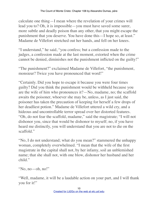calculate one thing—I mean where the revelation of your crimes will lead you to? Oh, it is impossible—you must have saved some surer, more subtle and deadly poison than any other, that you might escape the punishment that you deserve. You have done this—I hope so, at least." Madame de Villefort stretched out her hands, and fell on her knees.

"I understand," he said, "you confess; but a confession made to the judges, a confession made at the last moment, extorted when the crime cannot be denied, diminishes not the punishment inflicted on the guilty!"

"The punishment?" exclaimed Madame de Villefort, "the punishment, monsieur? Twice you have pronounced that word!"

"Certainly. Did you hope to escape it because you were four times guilty? Did you think the punishment would be withheld because you are the wife of him who pronounces it?—No, madame, no; the scaffold awaits the poisoner, whoever she may be, unless, as I just said, the poisoner has taken the precaution of keeping for herself a few drops of her deadliest potion." Madame de Villefort uttered a wild cry, and a hideous and uncontrollable terror spread over her distorted features. "Oh, do not fear the scaffold, madame," said the magistrate; "I will not dishonor you, since that would be dishonor to myself; no, if you have heard me distinctly, you will understand that you are not to die on the scaffold."

"No, I do not understand; what do you mean?" stammered the unhappy woman, completely overwhelmed. "I mean that the wife of the first magistrate in the capital shall not, by her infamy, soil an unblemished name; that she shall not, with one blow, dishonor her husband and her child."

```
"No, no—oh, no!"
```
"Well, madame, it will be a laudable action on your part, and I will thank you for it!"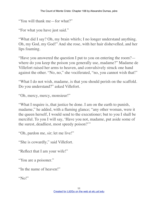"You will thank me—for what?"

"For what you have just said."

"What did I say? Oh, my brain whirls; I no longer understand anything. Oh, my God, my God!" And she rose, with her hair dishevelled, and her lips foaming.

"Have you answered the question I put to you on entering the room? where do you keep the poison you generally use, madame?" Madame de Villefort raised her arms to heaven, and convulsively struck one hand against the other. "No, no," she vociferated, "no, you cannot wish that!"

"What I do not wish, madame, is that you should perish on the scaffold. Do you understand?" asked Villefort.

```
"Oh, mercy, mercy, monsieur!"
```
"What I require is, that justice be done. I am on the earth to punish, madame," he added, with a flaming glance; "any other woman, were it the queen herself, I would send to the executioner; but to you I shall be merciful. To you I will say, 'Have you not, madame, put aside some of the surest, deadliest, most speedy poison?'"

"Oh, pardon me, sir; let me live!"

"She is cowardly," said Villefort.

"Reflect that I am your wife!"

"You are a poisoner."

"In the name of heaven!"

"No!"